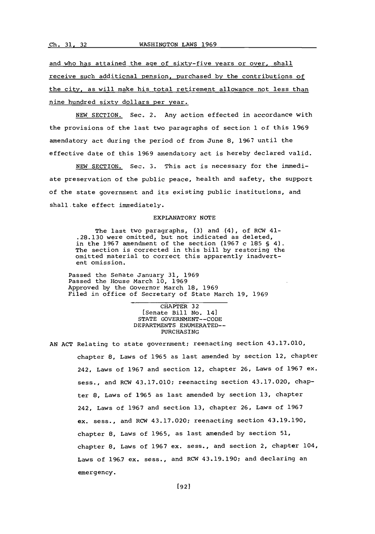and who has attained the age of sixty-five years or over, shall receive such additional pension, purchased **by** the contributions of the city, as will make his total retirement allowance not less than nine hundred sixty dollars per year.

**NEW** SECTION. Sec. 2. Any action effected in accordance with the provisions of the last two paragraphs of section **1** of this **1969** amendatory act during the period of from June **8, 1967** until the effective date of this **1969** amendatory act is hereby declared valid.

**NEW** SECTION. Sec. **3.** This act is necessary for the immediate preservation of the public peace, health and safety, the support **of** the state government and its existing public institutions, and shall take effect immediately.

## EXPLANATORY **NOTE**

The last two paragraphs, **(3)** and (4), of RCW 41- **.28.130** were omitted, but not indicated as deleted, in the **1967** amendment of the section **(1967** c **185 §** 4). The section is corrected in this bill **by** restoring the omitted material to correct this apparently inadvertent omission.

Passed the Senate January **31, 1969** Passed the House March **10, 1969** Approved **by** the Governor March **18, 1969** Filed in office of Secretary of State March **19, 1969**

> CHAPTER **32** [Senate Bill No. 14] **STATE GOVERNMENT- -CODE** DEPARTMENTS **ENUMERATED-~** PURCHASING

**AN ACT** Relating to state government; reenacting section 43.17.010, chapter **8,** Laws of **1965** as last amended **by** section 12, chapter 242, Laws of **1967** and section 12, chapter **26,** Laws of **1967** ex. sess., and RCW 43.17.010; reenacting section 43.17.020, chapter **8,** Laws of **1965** as last amended **by** section **13,** chapter 242, Laws of **1967** and section **13,** chapter **26,** Laws of **1967** ex. sess., and RCW 43.17.020; reenacting section 43.19.190, chapter 8, Laws of 1965, as last amended by section 51, chapter **8,** Laws of **1967** ex. sess., and section 2, chapter 104, Laws of **196.7** ex. sess., and RCW 43.19.190; and declaring an emergency.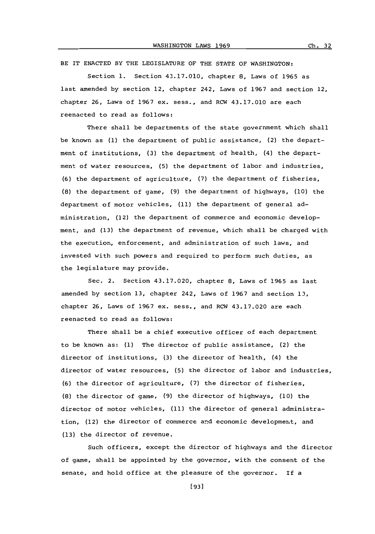BE IT **ENACTED** BY THE LEGISLATURE OF THE **STATE** OF WASHINGTON:

Section **1.** Section 43.17.010, chapter **8,** Laws of **1965** as last amended **by** section 12, chapter 242, Laws of **1967** and section 12, chapter **26,** Laws of **1967** ex. sess., and RCW 43.17.010 are each reenacted to read as follows:

There shall be departments of the state government which shall be known as **(1)** the department of public assistance, (2) the department of institutions, **(3)** the department of health, (4) the department of water resources, **(5)** the department of labor and industries, **(6)** the department of agriculture, **(7)** the department of fisheries, **(8)** the department of game, **(9)** the department of highways, **(10)** the department of motor vehicles, **(11)** the department of general administration, (12) the department of commerce and economic development, and **(13)** the department of revenue, which shall be charged with the execution, enforcement, and administration of such laws, and invested with such powers and required to perform such duties, as the legislature may provide.

Sec. 2. Section 43.17.020, chapter **8,** Laws of **1965** as last amended **by** section **13,** chapter 242, Laws of **1967** and section **13,** chapter **26,** Laws of **1967** ex. seas., and RCW 43.17.020 are each reenacted to read as follows:

There shall be a chief executive officer of each department to be known as: **(1)** The director of public assistance, (2) the director of institutions, **(3)** the director of health, (4) the director of water resources, **(5)** the director of labor and industries, **(6)** the director of agriculture, **(7)** the director of fisheries, **(8)** the director of game, **(9)** the director of highways, **(10)** the director of motor vehicles, (11) the director of general administration, (12) the director of commerce and economic development, and **(13)** the director of revenue.

Such officers, except the director of highways and the director of game, shall be appointed **by** the governor, with the consent of the senate, and hold office at the pleasure of the governor. If a

**[931**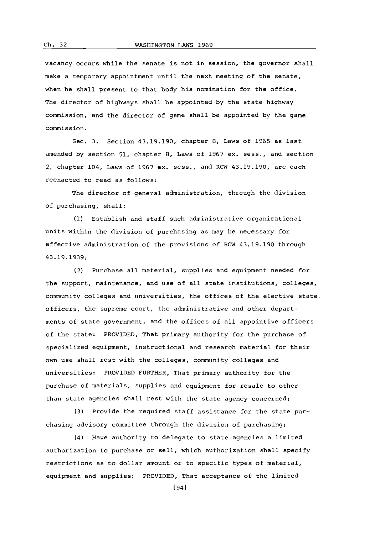vacancy occurs while the senate is not in session, the governor shall make a temporary appointment until the next meeting of the senate, when he shall present to that body his nomination for the office. The director of highways shall be appointed **by** the state highway commission, and the director of game shall be appointed **by** the game commission.

Sec. **3.** Section 43.19.190, chapter **8,** Laws of **1965** as last amended **by** section **51,** chapter **8.** Laws of **1967** ex. sess., and section 2, chapter 104, Laws of **1967** ex. sess., and RCW 43.19.190, are each reenacted to read as follows:

The director of general administration, through the division of purchasing, shall:

**(1)** Establish and staff such administrative organizational units within the division of purchasing as may be necessary for effective administration of the provisions of RCW 43.19.190 through **43.19.1939;**

(2) Purchase all material, supplies and equipment needed for the support, maintenance, and use of all state institutions, colleges, community colleges and universities, the offices of the elective state officers, the supreme court, the administrative and other departments of state government, and the offices of all appointive officers of the state: PROVIDED, That primary authority for the purchase of specialized equipment, instructional and research material for their own use shall rest with the colleges, community colleges and universities: PROVIDED FURTHER, That primary authority for the purchase of materials, supplies and equipment for resale to other than state agencies shall rest with the state agency concerned;

**(3)** Provide the required staff assistance for the state purchasing advisory committee through the division of purchasing;

(4) Have authority to delegate to state agencies a limited authorization to purchase or sell, which authorization shall specify restrictions as to dollar amount or to specific types of material, equipment and supplies: PROVIDED, That acceptance of the limited

Ch. 32

[941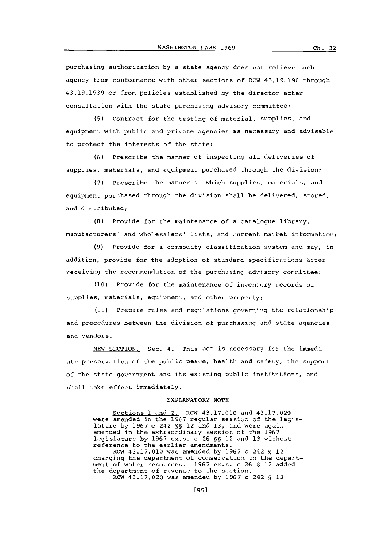purchasing authorization **by** a state agency does not relieve such agency from conformance with other sections of RCW 43.19.190 through **43.19.1939** or from policies established **by** the director after consultation with the state purchasing advisory committee;

**(5)** Contract for the testing of material, supplies, and equipment with public and private agencies as necessary and advisable to protect the interests of the state;

**(6)** Prescribe the manner of inspecting all deliveries of supplies, materials, and equipment purchased through the division;

**(7)** Prescribe the manner in which supplies, materials, and equipment purchased through the division shall be delivered, stored, and distributed;

**(8)** Provide for the maintenance of a catalogue library, manufacturers' and wholesalers' lists, and current market information;

**(9)** Provide for a commodity classification system and may, in addition, provide for the adoption of standard specifications after receiving the recommendation of the purchasing advisory conmittee;

(10) Provide for the maintenance of inventory records of supplies, materials, equipment, and other property;

(11) Prepare rules and regulations governing the relationship and procedures between the division of purchasing and state agencies and vendors.

**NEW** SECTION, Sec. 4. This act is necessary fcr the immediate preservation of the public peace, health and safety, the support of the state government and its existing public institutions, and shall take effect immediately.

## EXPLANATORY **NOTE**

Sections **1** and 2. RCW 43.17.010 and 43.17.020 were amended in the **1967** regular sesslon of the legislature **by 1967** c 242 **§§** 12 and **13,** and were againi amended in the extraordinary session of the **1967** legislature **by 1967** ex.s. c **26 §§** 12 and **13** withcit reference to the earlier amendments. RCW 43.17.010 was amended **by 1967** c 242 **§** 12 changing the department of conservaticn to the department of water resources. **1967 ex.s. c 26 §** 12 added the department of revenue to the section, RCW 43.17.020 was amended **by 1967** c 242 **§ 13**